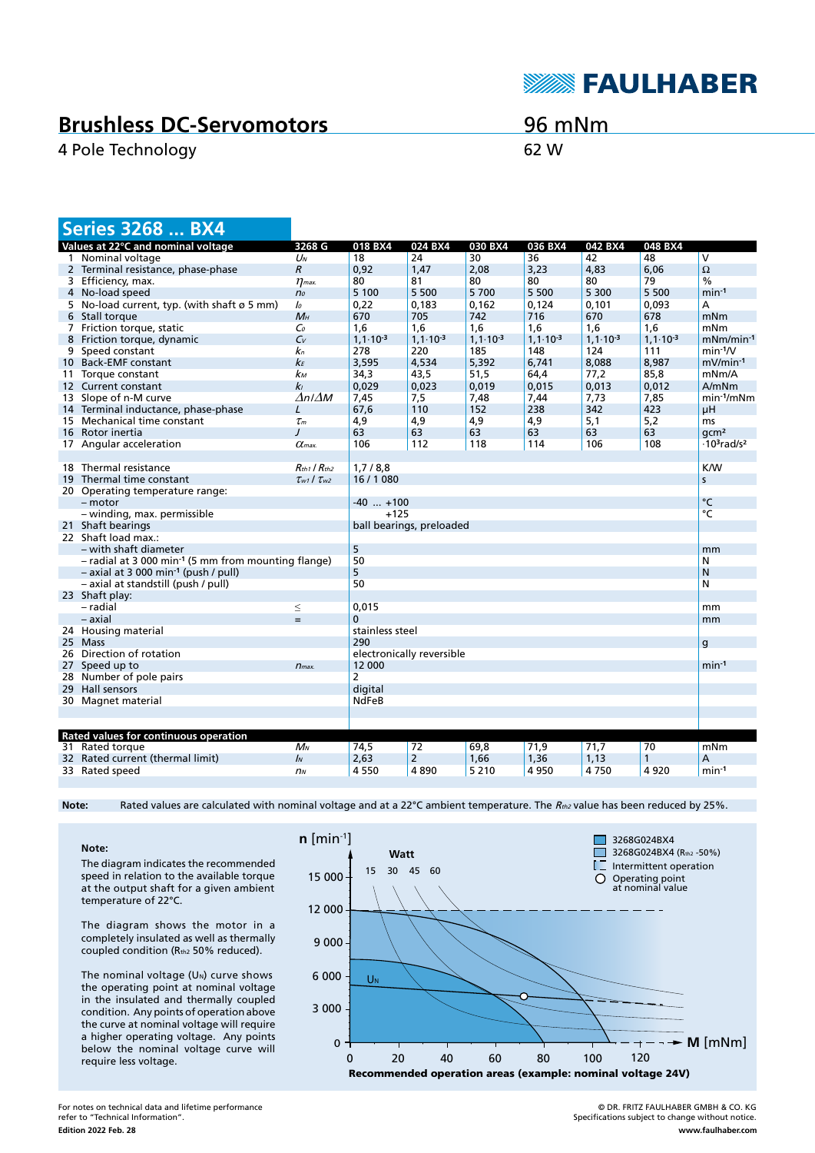

## **Brushless DC-Servomotors**

4 Pole Technology 62 W

## 96 mNm

|    | <b>Series 3268  BX4</b>                                           |                           |                           |                      |                      |                      |                      |                      |                                            |
|----|-------------------------------------------------------------------|---------------------------|---------------------------|----------------------|----------------------|----------------------|----------------------|----------------------|--------------------------------------------|
|    | Values at 22°C and nominal voltage                                | 3268 G                    | 018 BX4                   | 024 BX4              | 030 BX4              | 036 BX4              | 042 BX4              | 048 BX4              |                                            |
|    | 1 Nominal voltage                                                 | $U_N$                     | 18                        | 24                   | 30                   | 36                   | 42                   | 48                   | $\overline{\mathsf{v}}$                    |
|    | 2 Terminal resistance, phase-phase                                | $\mathcal{R}$             | 0,92                      | 1,47                 | 2,08                 | 3,23                 | 4,83                 | 6,06                 | Ω                                          |
|    | 3 Efficiency, max.                                                | $\eta$ <sub>max</sub> .   | 80                        | 81                   | 80                   | 80                   | 80                   | 79                   | $\%$                                       |
|    | 4 No-load speed                                                   | n <sub>o</sub>            | 5 100                     | 5 500                | 5700                 | 5 5 0 0              | 5 300                | 5 500                | $min-1$                                    |
|    | 5 No-load current, typ. (with shaft $\varnothing$ 5 mm)           | lo                        | 0,22                      | 0,183                | 0,162                | 0,124                | 0,101                | 0,093                | А                                          |
|    | 6 Stall torque                                                    | $M_H$                     | 670                       | 705                  | 742                  | 716                  | 670                  | 678                  | mNm                                        |
|    | 7 Friction torque, static                                         | $\mathcal{C}_0$           | 1,6                       | 1,6                  | 1,6                  | 1,6                  | 1,6                  | 1,6                  | mNm                                        |
| 8  | Friction torque, dynamic                                          | $C_{V}$                   | $1, 1 \cdot 10^{-3}$      | $1, 1 \cdot 10^{-3}$ | $1, 1 \cdot 10^{-3}$ | $1, 1 \cdot 10^{-3}$ | $1, 1 \cdot 10^{-3}$ | $1, 1 \cdot 10^{-3}$ | $mNm/min-1$                                |
|    | 9 Speed constant                                                  | kп                        | 278                       | 220                  | 185                  | 148                  | 124                  | 111                  | $min-1/V$                                  |
|    | 10 Back-EMF constant                                              | $k_F$                     | 3,595                     | 4,534                | 5,392                | 6,741                | 8,088                | 8.987                | $mV/min-1$                                 |
|    | 11 Torque constant                                                | kм                        | 34,3                      | 43,5                 | 51,5                 | 64,4                 | 77,2                 | 85.8                 | mNm/A                                      |
|    | 12 Current constant                                               | k <sub>l</sub>            | 0,029                     | 0,023                | 0,019                | 0,015                | 0,013                | 0,012                | A/mNm                                      |
|    | 13 Slope of n-M curve                                             | $\Delta n/\Delta M$       | 7,45                      | 7,5                  | 7,48                 | 7,44                 | 7,73                 | 7,85                 | $min-1/mNm$                                |
|    | 14 Terminal inductance, phase-phase                               | L                         | 67,6                      | 110                  | 152                  | 238                  | 342                  | 423                  | μH                                         |
|    | 15 Mechanical time constant                                       | $\tau_m$                  | 4,9                       | 4,9                  | 4,9                  | 4,9                  | 5,1                  | 5,2                  | ms                                         |
|    | 16 Rotor inertia                                                  | $\prime$                  | 63                        | 63                   | 63                   | 63                   | 63                   | 63                   | qcm <sup>2</sup>                           |
|    | 17 Angular acceleration                                           | $\alpha$ <sub>max</sub> . | 106                       | 112                  | 118                  | 114                  | 106                  | 108                  | $\cdot$ 10 <sup>3</sup> rad/s <sup>2</sup> |
|    |                                                                   |                           |                           |                      |                      |                      |                      |                      |                                            |
|    | 18 Thermal resistance                                             | $R_{th1}$ / $R_{th2}$     | 1,7/8,8                   |                      |                      |                      |                      |                      | K/W                                        |
|    | 19 Thermal time constant                                          | $\tau_{w1}$ / $\tau_{w2}$ | 16 / 1080                 |                      |                      |                      |                      |                      | S                                          |
|    | 20 Operating temperature range:                                   |                           |                           |                      |                      |                      |                      |                      |                                            |
|    | - motor                                                           |                           | $-40$ $+100$              |                      |                      |                      |                      |                      | °C                                         |
|    | - winding, max. permissible                                       |                           | $+125$                    |                      |                      |                      |                      |                      | $\overline{C}$                             |
|    | 21 Shaft bearings<br>ball bearings, preloaded                     |                           |                           |                      |                      |                      |                      |                      |                                            |
|    | 22 Shaft load max.:                                               |                           |                           |                      |                      |                      |                      |                      |                                            |
|    | - with shaft diameter                                             |                           | 5                         |                      |                      |                      |                      |                      | mm                                         |
|    | $-$ radial at 3 000 min <sup>-1</sup> (5 mm from mounting flange) |                           | 50                        |                      |                      |                      |                      |                      | N                                          |
|    | $-$ axial at 3 000 min <sup>-1</sup> (push / pull)                |                           | 5                         |                      |                      |                      |                      |                      | N                                          |
|    | - axial at standstill (push / pull)                               |                           | 50                        |                      |                      |                      |                      |                      | N                                          |
|    | 23 Shaft play:                                                    |                           |                           |                      |                      |                      |                      |                      |                                            |
|    | - radial                                                          | $\leq$                    | 0,015                     |                      |                      |                      |                      |                      | mm                                         |
|    | – axial                                                           | $=$                       | $\Omega$                  |                      |                      |                      |                      |                      | mm                                         |
|    | 24 Housing material                                               |                           | stainless steel           |                      |                      |                      |                      |                      |                                            |
|    | 25 Mass                                                           |                           | 290                       |                      |                      |                      |                      |                      | g                                          |
|    | 26 Direction of rotation                                          |                           | electronically reversible |                      |                      |                      |                      |                      |                                            |
|    | 27 Speed up to                                                    | $n_{max.}$                | 12 000                    |                      |                      |                      |                      |                      | $min-1$                                    |
|    | 28 Number of pole pairs                                           |                           | 2                         |                      |                      |                      |                      |                      |                                            |
| 29 | Hall sensors                                                      |                           | digital                   |                      |                      |                      |                      |                      |                                            |
|    | 30 Magnet material                                                |                           | <b>NdFeB</b>              |                      |                      |                      |                      |                      |                                            |
|    |                                                                   |                           |                           |                      |                      |                      |                      |                      |                                            |
|    |                                                                   |                           |                           |                      |                      |                      |                      |                      |                                            |
|    | Rated values for continuous operation                             |                           |                           |                      |                      |                      |                      |                      |                                            |
|    | 31 Rated torque                                                   | $M_N$                     | 74,5                      | 72                   | 69,8                 | 71,9                 | 71,7                 | 70                   | mNm                                        |
|    | 32 Rated current (thermal limit)                                  | $\mathbf{I}$              | 2,63                      | $\overline{2}$       | 1,66                 | 1,36                 | 1,13                 | 1                    | Α                                          |
|    | 33 Rated speed                                                    | n <sub>N</sub>            | 4 5 5 0                   | 4890                 | 5 2 1 0              | 4 9 5 0              | 4750                 | 4920                 | $min-1$                                    |

Note: Rated values are calculated with nominal voltage and at a 22°C ambient temperature. The R<sub>th2</sub> value has been reduced by 25%.

**Note:** The diagram indicates the recommended speed in relation to the available torque at the output shaft for a given ambient temperature of 22°C.

The diagram shows the motor in a completely insulated as well as thermally coupled condition (Rth2 50% reduced).

The nominal voltage  $(U<sub>N</sub>)$  curve shows the operating point at nominal voltage in the insulated and thermally coupled condition. Any points of operation above the curve at nominal voltage will require a higher operating voltage. Any points below the nominal voltage curve will require less voltage.



**Edition 2022 Feb. 28** For notes on technical data and lifetime performance refer to "Technical Information".

© DR. FRITZ FAULHABER GMBH & CO. KG Specifications subject to change without notice. **www.faulhaber.com**